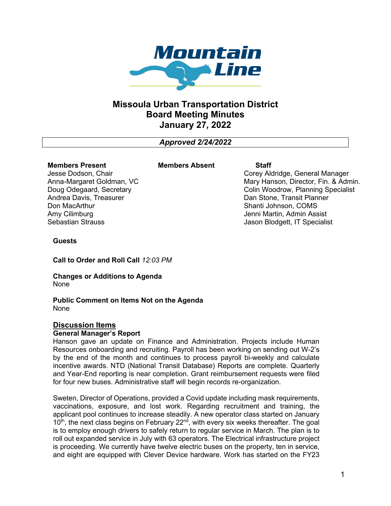

# **Missoula Urban Transportation District Board Meeting Minutes January 27, 2022**

*Approved 2/24/2022*

#### **Members Present**

**Members Absent Staff**

Jesse Dodson, Chair Anna-Margaret Goldman, VC Doug Odegaard, Secretary Andrea Davis, Treasurer Don MacArthur Amy Cilimburg Sebastian Strauss

Corey Aldridge, General Manager Mary Hanson, Director, Fin. & Admin. Colin Woodrow, Planning Specialist Dan Stone, Transit Planner Shanti Johnson, COMS Jenni Martin, Admin Assist Jason Blodgett, IT Specialist

#### **Guests**

**Call to Order and Roll Call** *12:03 PM*

**Changes or Additions to Agenda** None

**Public Comment on Items Not on the Agenda** None

### **Discussion Items**

#### **General Manager's Report**

Hanson gave an update on Finance and Administration. Projects include Human Resources onboarding and recruiting. Payroll has been working on sending out W-2's by the end of the month and continues to process payroll bi-weekly and calculate incentive awards. NTD (National Transit Database) Reports are complete. Quarterly and Year-End reporting is near completion. Grant reimbursement requests were filed for four new buses. Administrative staff will begin records re-organization.

Sweten, Director of Operations, provided a Covid update including mask requirements, vaccinations, exposure, and lost work. Regarding recruitment and training, the applicant pool continues to increase steadily. A new operator class started on January  $10<sup>th</sup>$ , the next class begins on February 22 $<sup>nd</sup>$ , with every six weeks thereafter. The goal</sup> is to employ enough drivers to safely return to regular service in March. The plan is to roll out expanded service in July with 63 operators. The Electrical infrastructure project is proceeding. We currently have twelve electric buses on the property, ten in service, and eight are equipped with Clever Device hardware. Work has started on the FY23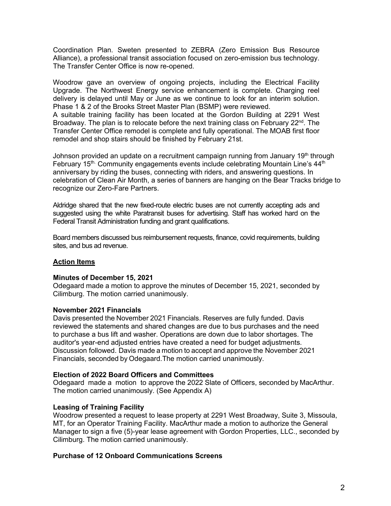Coordination Plan. Sweten presented to ZEBRA (Zero Emission Bus Resource Alliance), a professional transit association focused on zero-emission bus technology. The Transfer Center Office is now re-opened.

Woodrow gave an overview of ongoing projects, including the Electrical Facility Upgrade. The Northwest Energy service enhancement is complete. Charging reel delivery is delayed until May or June as we continue to look for an interim solution. Phase 1 & 2 of the Brooks Street Master Plan (BSMP) were reviewed.

A suitable training facility has been located at the Gordon Building at 2291 West Broadway. The plan is to relocate before the next training class on February 22<sup>nd</sup>. The Transfer Center Office remodel is complete and fully operational. The MOAB first floor remodel and shop stairs should be finished by February 21st.

Johnson provided an update on a recruitment campaign running from January 19<sup>th</sup> through February 15<sup>th.</sup> Community engagements events include celebrating Mountain Line's 44<sup>th</sup> anniversary by riding the buses, connecting with riders, and answering questions. In celebration of Clean Air Month, a series of banners are hanging on the Bear Tracks bridge to recognize our Zero-Fare Partners.

Aldridge shared that the new fixed-route electric buses are not currently accepting ads and suggested using the white Paratransit buses for advertising. Staff has worked hard on the Federal Transit Administration funding and grant qualifications.

Board members discussed bus reimbursement requests, finance, covid requirements, building sites, and bus ad revenue.

#### **Action Items**

#### **Minutes of December 15, 2021**

Odegaard made a motion to approve the minutes of December 15, 2021, seconded by Cilimburg. The motion carried unanimously.

#### **November 2021 Financials**

Davis presented the November 2021 Financials. Reserves are fully funded. Davis reviewed the statements and shared changes are due to bus purchases and the need to purchase a bus lift and washer. Operations are down due to labor shortages. The auditor's year-end adjusted entries have created a need for budget adjustments. Discussion followed. Davis made a motion to accept and approve the November 2021 Financials, seconded by Odegaard.The motion carried unanimously.

#### **Election of 2022 Board Officers and Committees**

Odegaard made a motion to approve the 2022 Slate of Officers, seconded by MacArthur. The motion carried unanimously. (See Appendix A)

#### **Leasing of Training Facility**

Woodrow presented a request to lease property at 2291 West Broadway, Suite 3, Missoula, MT, for an Operator Training Facility. MacArthur made a motion to authorize the General Manager to sign a five (5)-year lease agreement with Gordon Properties, LLC., seconded by Cilimburg. The motion carried unanimously.

#### **Purchase of 12 Onboard Communications Screens**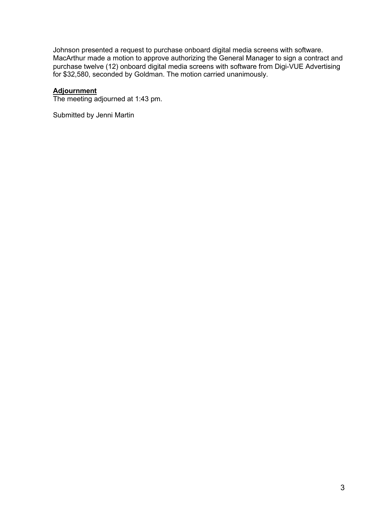Johnson presented a request to purchase onboard digital media screens with software. MacArthur made a motion to approve authorizing the General Manager to sign a contract and purchase twelve (12) onboard digital media screens with software from Digi-VUE Advertising for \$32,580, seconded by Goldman. The motion carried unanimously.

## **Adjournment**

The meeting adjourned at 1:43 pm.

Submitted by Jenni Martin